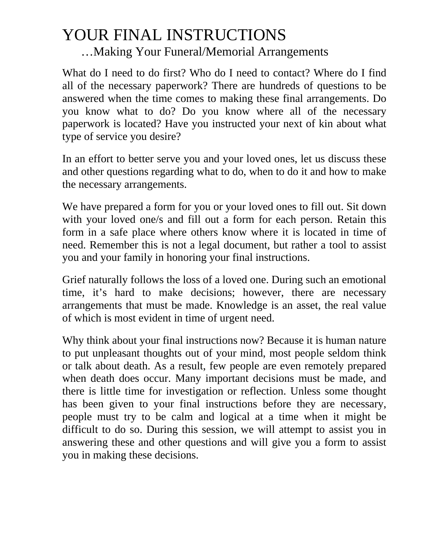## YOUR FINAL INSTRUCTIONS …Making Your Funeral/Memorial Arrangements

What do I need to do first? Who do I need to contact? Where do I find all of the necessary paperwork? There are hundreds of questions to be answered when the time comes to making these final arrangements. Do you know what to do? Do you know where all of the necessary paperwork is located? Have you instructed your next of kin about what type of service you desire?

In an effort to better serve you and your loved ones, let us discuss these and other questions regarding what to do, when to do it and how to make the necessary arrangements.

We have prepared a form for you or your loved ones to fill out. Sit down with your loved one/s and fill out a form for each person. Retain this form in a safe place where others know where it is located in time of need. Remember this is not a legal document, but rather a tool to assist you and your family in honoring your final instructions.

Grief naturally follows the loss of a loved one. During such an emotional time, it's hard to make decisions; however, there are necessary arrangements that must be made. Knowledge is an asset, the real value of which is most evident in time of urgent need.

Why think about your final instructions now? Because it is human nature to put unpleasant thoughts out of your mind, most people seldom think or talk about death. As a result, few people are even remotely prepared when death does occur. Many important decisions must be made, and there is little time for investigation or reflection. Unless some thought has been given to your final instructions before they are necessary, people must try to be calm and logical at a time when it might be difficult to do so. During this session, we will attempt to assist you in answering these and other questions and will give you a form to assist you in making these decisions.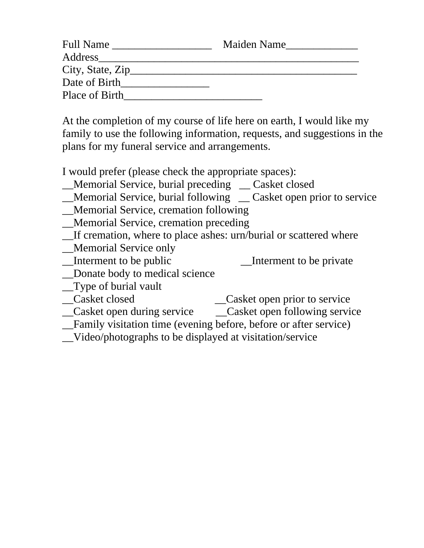| <b>Full Name</b>  | Maiden Name |
|-------------------|-------------|
| Address           |             |
| City, State, Zip_ |             |
| Date of Birth     |             |
| Place of Birth    |             |

At the completion of my course of life here on earth, I would like my family to use the following information, requests, and suggestions in the plans for my funeral service and arrangements.

I would prefer (please check the appropriate spaces):

- \_\_Memorial Service, burial preceding \_\_ Casket closed
- Memorial Service, burial following Casket open prior to service
- \_\_Memorial Service, cremation following
- \_\_Memorial Service, cremation preceding
- \_\_If cremation, where to place ashes: urn/burial or scattered where
- \_Memorial Service only
- Interment to be public Interment to be private
- \_\_Donate body to medical science
- \_\_Type of burial vault
- \_\_Casket closed \_\_Casket open prior to service
- \_\_Casket open during service \_\_Casket open following service
- \_\_Family visitation time (evening before, before or after service)
- \_\_Video/photographs to be displayed at visitation/service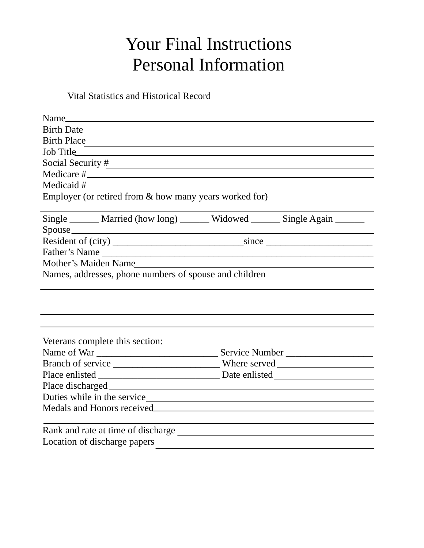## Your Final Instructions Personal Information

Vital Statistics and Historical Record

| Birth Date                                                                  |  |
|-----------------------------------------------------------------------------|--|
| Birth Place                                                                 |  |
|                                                                             |  |
| Social Security $\frac{\#}{\#}$                                             |  |
|                                                                             |  |
| $Medical \#$                                                                |  |
| Employer (or retired from & how many years worked for)                      |  |
|                                                                             |  |
| Single _______ Married (how long) ______ Widowed ______ Single Again ______ |  |
|                                                                             |  |
|                                                                             |  |
|                                                                             |  |
| Mother's Maiden Name                                                        |  |
| Names, addresses, phone numbers of spouse and children                      |  |
|                                                                             |  |
|                                                                             |  |
|                                                                             |  |
|                                                                             |  |
|                                                                             |  |
| Veterans complete this section:                                             |  |
|                                                                             |  |
|                                                                             |  |
|                                                                             |  |
|                                                                             |  |
|                                                                             |  |
| Medals and Honors received                                                  |  |
| Rank and rate at time of discharge                                          |  |
| Location of discharge papers                                                |  |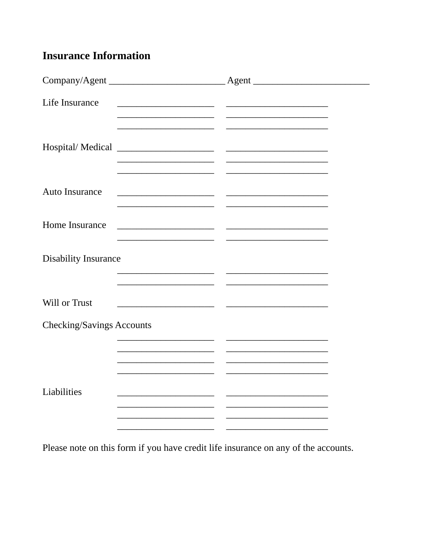## **Insurance Information**

| Life Insurance                   |                                                                                                                       |                                                                                                                        |  |
|----------------------------------|-----------------------------------------------------------------------------------------------------------------------|------------------------------------------------------------------------------------------------------------------------|--|
|                                  |                                                                                                                       |                                                                                                                        |  |
|                                  |                                                                                                                       | the control of the control of the control of the control of the control of                                             |  |
| Hospital/Medical                 |                                                                                                                       |                                                                                                                        |  |
|                                  | <u> 1989 - Johann John Stone, market fan it ferstjer fan it ferstjer fan it ferstjer fan it ferstjer fan it fers</u>  | <u> 1989 - Johann John Stone, market fan it ferstjer fan it ferstjer fan it ferstjer fan it ferstjer fan it fers</u>   |  |
| <b>Auto Insurance</b>            |                                                                                                                       |                                                                                                                        |  |
|                                  |                                                                                                                       | the control of the control of the control of the control of the control of                                             |  |
| Home Insurance                   |                                                                                                                       |                                                                                                                        |  |
|                                  |                                                                                                                       |                                                                                                                        |  |
| <b>Disability Insurance</b>      |                                                                                                                       |                                                                                                                        |  |
|                                  |                                                                                                                       |                                                                                                                        |  |
| Will or Trust                    |                                                                                                                       |                                                                                                                        |  |
| <b>Checking/Savings Accounts</b> |                                                                                                                       |                                                                                                                        |  |
|                                  |                                                                                                                       |                                                                                                                        |  |
|                                  |                                                                                                                       | the control of the control of the control of the control of the control of                                             |  |
|                                  |                                                                                                                       |                                                                                                                        |  |
| Liabilities                      | <u> 1980 - Jan Jan Jawa Barat, masjid a shekara ta 1980 - André a Santa Barat, masjid a shekara ta 1980 - André a</u> | <u> 1989 - Johann John Stone, market fan it ferskearre fan it ferskearre fan it ferskearre fan it ferskearre fan i</u> |  |
|                                  |                                                                                                                       |                                                                                                                        |  |
|                                  |                                                                                                                       | ___                                                                                                                    |  |

Please note on this form if you have credit life insurance on any of the accounts.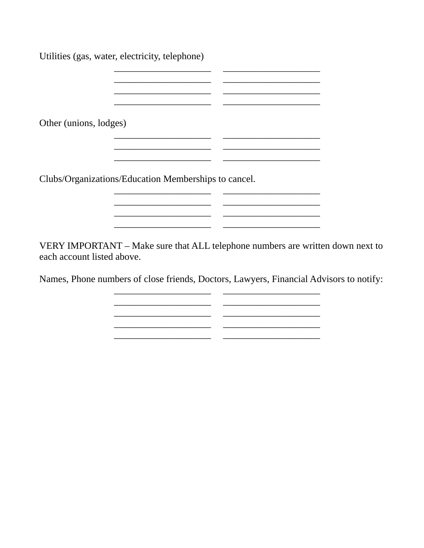| Utilities (gas, water, electricity, telephone)       |  |
|------------------------------------------------------|--|
|                                                      |  |
|                                                      |  |
| Other (unions, lodges)                               |  |
|                                                      |  |
| Clubs/Organizations/Education Memberships to cancel. |  |
|                                                      |  |

VERY IMPORTANT - Make sure that ALL telephone numbers are written down next to each account listed above.

Names, Phone numbers of close friends, Doctors, Lawyers, Financial Advisors to notify:

 $\mathcal{L}^{\text{max}}$ 

L.